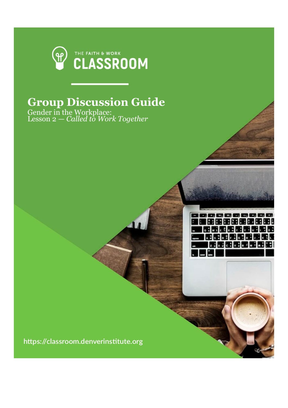

## **Group Discussion Guide**

,,,,,,,,,,,,, |開電編編編編編編| **WIRE REFERENCE MENDEN GROUP** 医网象无尾性尿素

Gender in the Workplace: Lesson 2 — *Called to Work Together*